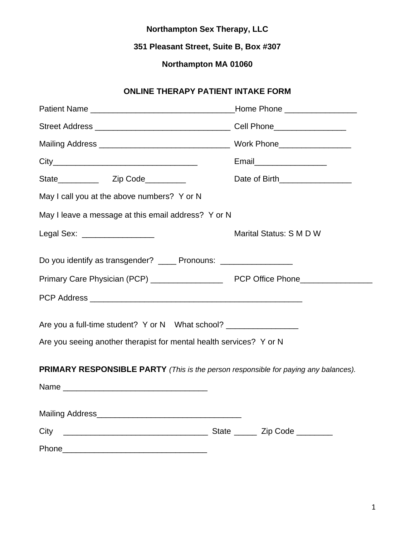**351 Pleasant Street, Suite B, Box #307**

# **Northampton MA 01060**

# **ONLINE THERAPY PATIENT INTAKE FORM**

|                                                                                            | Home Phone ___________________  |
|--------------------------------------------------------------------------------------------|---------------------------------|
|                                                                                            |                                 |
|                                                                                            |                                 |
|                                                                                            |                                 |
|                                                                                            | Date of Birth__________________ |
| May I call you at the above numbers? Y or N                                                |                                 |
| May I leave a message at this email address? Y or N                                        |                                 |
| Legal Sex: ___________________                                                             | Marital Status: S M D W         |
| Do you identify as transgender? _____ Pronouns: __________________                         |                                 |
|                                                                                            |                                 |
|                                                                                            |                                 |
|                                                                                            |                                 |
| Are you seeing another therapist for mental health services? Y or N                        |                                 |
| <b>PRIMARY RESPONSIBLE PARTY</b> (This is the person responsible for paying any balances). |                                 |
|                                                                                            |                                 |
|                                                                                            |                                 |
| City                                                                                       |                                 |
|                                                                                            |                                 |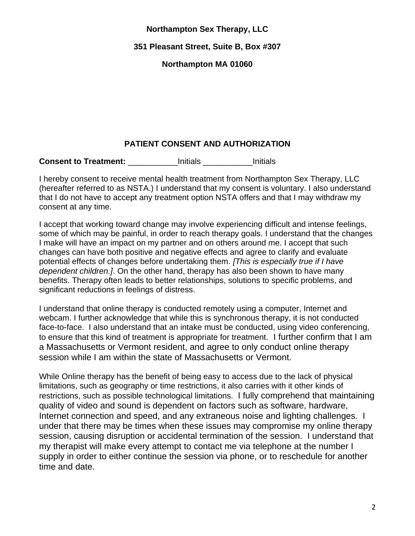**351 Pleasant Street, Suite B, Box #307**

**Northampton MA 01060**

# **PATIENT CONSENT AND AUTHORIZATION**

**Consent to Treatment: Example 1 Consent to Treatment: Notifials Example 2 Initials** 

I hereby consent to receive mental health treatment from Northampton Sex Therapy, LLC (hereafter referred to as NSTA.) I understand that my consent is voluntary. I also understand that I do not have to accept any treatment option NSTA offers and that I may withdraw my consent at any time.

I accept that working toward change may involve experiencing difficult and intense feelings, some of which may be painful, in order to reach therapy goals. I understand that the changes I make will have an impact on my partner and on others around me. I accept that such changes can have both positive and negative effects and agree to clarify and evaluate potential effects of changes before undertaking them. *[This is especially true if I have dependent children.]*. On the other hand, therapy has also been shown to have many benefits. Therapy often leads to better relationships, solutions to specific problems, and significant reductions in feelings of distress.

I understand that online therapy is conducted remotely using a computer, Internet and webcam. I further acknowledge that while this is synchronous therapy, it is not conducted face-to-face. I also understand that an intake must be conducted, using video conferencing, to ensure that this kind of treatment is appropriate for treatment. I further confirm that I am a Massachusetts or Vermont resident, and agree to only conduct online therapy session while I am within the state of Massachusetts or Vermont.

While Online therapy has the benefit of being easy to access due to the lack of physical limitations, such as geography or time restrictions, it also carries with it other kinds of restrictions, such as possible technological limitations. I fully comprehend that maintaining quality of video and sound is dependent on factors such as software, hardware, Internet connection and speed, and any extraneous noise and lighting challenges. I under that there may be times when these issues may compromise my online therapy session, causing disruption or accidental termination of the session. I understand that my therapist will make every attempt to contact me via telephone at the number I supply in order to either continue the session via phone, or to reschedule for another time and date.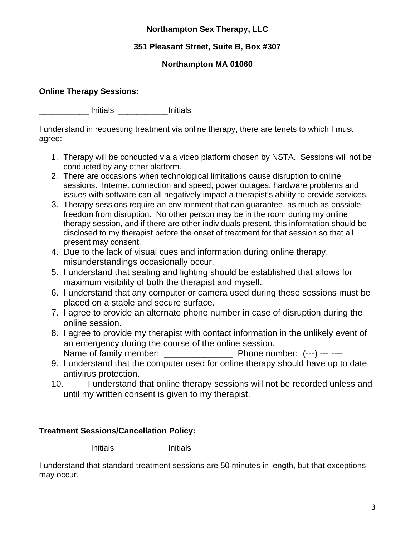# **351 Pleasant Street, Suite B, Box #307**

# **Northampton MA 01060**

### **Online Therapy Sessions:**

\_\_\_\_\_\_\_\_\_\_\_ Initials \_\_\_\_\_\_\_\_\_\_\_Initials

I understand in requesting treatment via online therapy, there are tenets to which I must agree:

- 1. Therapy will be conducted via a video platform chosen by NSTA. Sessions will not be conducted by any other platform.
- 2. There are occasions when technological limitations cause disruption to online sessions. Internet connection and speed, power outages, hardware problems and issues with software can all negatively impact a therapist's ability to provide services.
- 3. Therapy sessions require an environment that can guarantee, as much as possible, freedom from disruption. No other person may be in the room during my online therapy session, and if there are other individuals present, this information should be disclosed to my therapist before the onset of treatment for that session so that all present may consent.
- 4. Due to the lack of visual cues and information during online therapy, misunderstandings occasionally occur.
- 5. I understand that seating and lighting should be established that allows for maximum visibility of both the therapist and myself.
- 6. I understand that any computer or camera used during these sessions must be placed on a stable and secure surface.
- 7. I agree to provide an alternate phone number in case of disruption during the online session.
- 8. I agree to provide my therapist with contact information in the unlikely event of an emergency during the course of the online session. Name of family member:  $\blacksquare$  Phone number: (---) --- ----
- 9. I understand that the computer used for online therapy should have up to date antivirus protection.
- 10. I understand that online therapy sessions will not be recorded unless and until my written consent is given to my therapist.

# **Treatment Sessions/Cancellation Policy:**

\_\_\_\_\_\_\_\_\_\_\_ Initials \_\_\_\_\_\_\_\_\_\_\_Initials

I understand that standard treatment sessions are 50 minutes in length, but that exceptions may occur.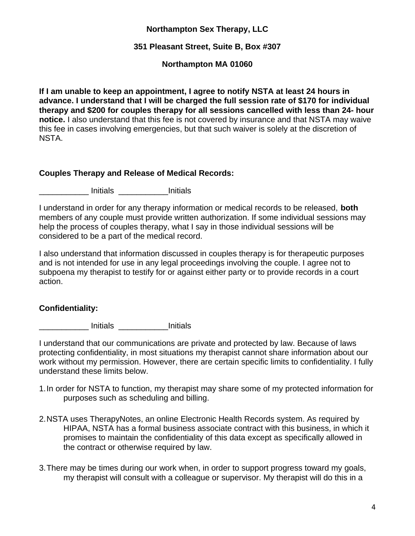### **351 Pleasant Street, Suite B, Box #307**

### **Northampton MA 01060**

**If I am unable to keep an appointment, I agree to notify NSTA at least 24 hours in advance. I understand that I will be charged the full session rate of \$170 for individual therapy and \$200 for couples therapy for all sessions cancelled with less than 24- hour notice.** I also understand that this fee is not covered by insurance and that NSTA may waive this fee in cases involving emergencies, but that such waiver is solely at the discretion of NSTA.

### **Couples Therapy and Release of Medical Records:**

\_\_\_\_\_\_\_\_\_\_\_ Initials \_\_\_\_\_\_\_\_\_\_\_Initials

I understand in order for any therapy information or medical records to be released, **both**  members of any couple must provide written authorization. If some individual sessions may help the process of couples therapy, what I say in those individual sessions will be considered to be a part of the medical record.

I also understand that information discussed in couples therapy is for therapeutic purposes and is not intended for use in any legal proceedings involving the couple. I agree not to subpoena my therapist to testify for or against either party or to provide records in a court action.

## **Confidentiality:**

\_\_\_\_\_\_\_\_\_\_\_ Initials \_\_\_\_\_\_\_\_\_\_\_Initials

I understand that our communications are private and protected by law. Because of laws protecting confidentiality, in most situations my therapist cannot share information about our work without my permission. However, there are certain specific limits to confidentiality. I fully understand these limits below.

- 1.In order for NSTA to function, my therapist may share some of my protected information for purposes such as scheduling and billing.
- 2.NSTA uses TherapyNotes, an online Electronic Health Records system. As required by HIPAA, NSTA has a formal business associate contract with this business, in which it promises to maintain the confidentiality of this data except as specifically allowed in the contract or otherwise required by law.
- 3.There may be times during our work when, in order to support progress toward my goals, my therapist will consult with a colleague or supervisor. My therapist will do this in a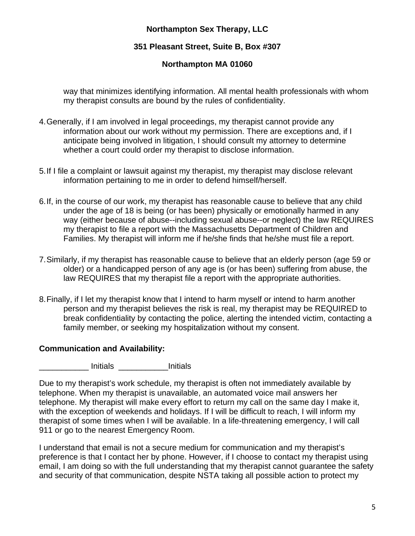# **351 Pleasant Street, Suite B, Box #307**

# **Northampton MA 01060**

way that minimizes identifying information. All mental health professionals with whom my therapist consults are bound by the rules of confidentiality.

- 4.Generally, if I am involved in legal proceedings, my therapist cannot provide any information about our work without my permission. There are exceptions and, if I anticipate being involved in litigation, I should consult my attorney to determine whether a court could order my therapist to disclose information.
- 5.If I file a complaint or lawsuit against my therapist, my therapist may disclose relevant information pertaining to me in order to defend himself/herself.
- 6.If, in the course of our work, my therapist has reasonable cause to believe that any child under the age of 18 is being (or has been) physically or emotionally harmed in any way (either because of abuse--including sexual abuse--or neglect) the law REQUIRES my therapist to file a report with the Massachusetts Department of Children and Families. My therapist will inform me if he/she finds that he/she must file a report.
- 7.Similarly, if my therapist has reasonable cause to believe that an elderly person (age 59 or older) or a handicapped person of any age is (or has been) suffering from abuse, the law REQUIRES that my therapist file a report with the appropriate authorities.
- 8.Finally, if I let my therapist know that I intend to harm myself or intend to harm another person and my therapist believes the risk is real, my therapist may be REQUIRED to break confidentiality by contacting the police, alerting the intended victim, contacting a family member, or seeking my hospitalization without my consent.

## **Communication and Availability:**

\_\_\_\_\_\_\_\_\_\_\_ Initials \_\_\_\_\_\_\_\_\_\_\_Initials

Due to my therapist's work schedule, my therapist is often not immediately available by telephone. When my therapist is unavailable, an automated voice mail answers her telephone. My therapist will make every effort to return my call on the same day I make it, with the exception of weekends and holidays. If I will be difficult to reach, I will inform my therapist of some times when I will be available. In a life-threatening emergency, I will call 911 or go to the nearest Emergency Room.

I understand that email is not a secure medium for communication and my therapist's preference is that I contact her by phone. However, if I choose to contact my therapist using email, I am doing so with the full understanding that my therapist cannot guarantee the safety and security of that communication, despite NSTA taking all possible action to protect my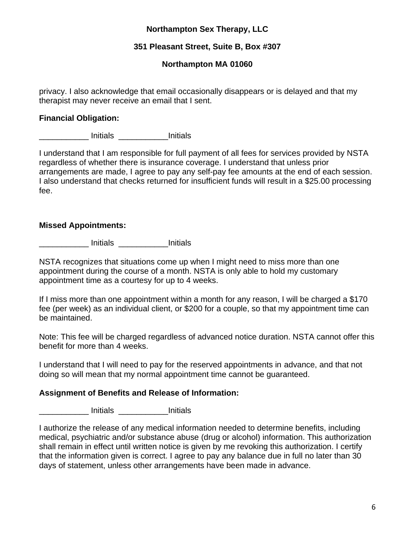### **351 Pleasant Street, Suite B, Box #307**

### **Northampton MA 01060**

privacy. I also acknowledge that email occasionally disappears or is delayed and that my therapist may never receive an email that I sent.

### **Financial Obligation:**

\_\_\_\_\_\_\_\_\_\_\_ Initials \_\_\_\_\_\_\_\_\_\_\_Initials

I understand that I am responsible for full payment of all fees for services provided by NSTA regardless of whether there is insurance coverage. I understand that unless prior arrangements are made, I agree to pay any self-pay fee amounts at the end of each session. I also understand that checks returned for insufficient funds will result in a \$25.00 processing fee.

### **Missed Appointments:**

\_\_\_\_\_\_\_\_\_\_\_ Initials \_\_\_\_\_\_\_\_\_\_\_Initials

NSTA recognizes that situations come up when I might need to miss more than one appointment during the course of a month. NSTA is only able to hold my customary appointment time as a courtesy for up to 4 weeks.

If I miss more than one appointment within a month for any reason, I will be charged a \$170 fee (per week) as an individual client, or \$200 for a couple, so that my appointment time can be maintained.

Note: This fee will be charged regardless of advanced notice duration. NSTA cannot offer this benefit for more than 4 weeks.

I understand that I will need to pay for the reserved appointments in advance, and that not doing so will mean that my normal appointment time cannot be guaranteed.

## **Assignment of Benefits and Release of Information:**

\_\_\_\_\_\_\_\_\_\_\_ Initials \_\_\_\_\_\_\_\_\_\_\_Initials

I authorize the release of any medical information needed to determine benefits, including medical, psychiatric and/or substance abuse (drug or alcohol) information. This authorization shall remain in effect until written notice is given by me revoking this authorization. I certify that the information given is correct. I agree to pay any balance due in full no later than 30 days of statement, unless other arrangements have been made in advance.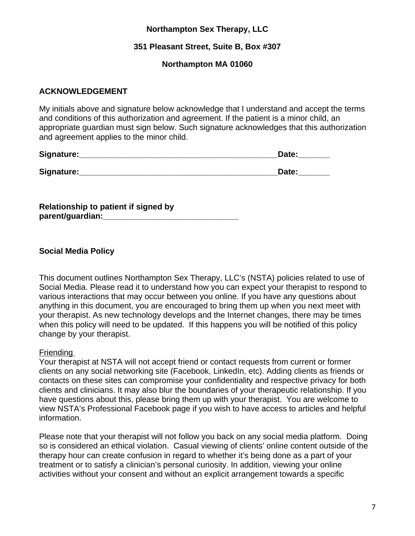### **351 Pleasant Street, Suite B, Box #307**

### **Northampton MA 01060**

#### **ACKNOWLEDGEMENT**

My initials above and signature below acknowledge that I understand and accept the terms and conditions of this authorization and agreement. If the patient is a minor child, an appropriate guardian must sign below. Such signature acknowledges that this authorization and agreement applies to the minor child.

| Signature: | Date: |
|------------|-------|
| Signature: | Date: |

**Relationship to patient if signed by parent/guardian:\_\_\_\_\_\_\_\_\_\_\_\_\_\_\_\_\_\_\_\_\_\_\_\_\_\_\_\_\_\_**

### **Social Media Policy**

This document outlines Northampton Sex Therapy, LLC's (NSTA) policies related to use of Social Media. Please read it to understand how you can expect your therapist to respond to various interactions that may occur between you online. If you have any questions about anything in this document, you are encouraged to bring them up when you next meet with your therapist. As new technology develops and the Internet changes, there may be times when this policy will need to be updated. If this happens you will be notified of this policy change by your therapist.

#### Friending

Your therapist at NSTA will not accept friend or contact requests from current or former clients on any social networking site (Facebook, LinkedIn, etc). Adding clients as friends or contacts on these sites can compromise your confidentiality and respective privacy for both clients and clinicians. It may also blur the boundaries of your therapeutic relationship. If you have questions about this, please bring them up with your therapist. You are welcome to view NSTA's Professional Facebook page if you wish to have access to articles and helpful information.

Please note that your therapist will not follow you back on any social media platform. Doing so is considered an ethical violation. Casual viewing of clients' online content outside of the therapy hour can create confusion in regard to whether it's being done as a part of your treatment or to satisfy a clinician's personal curiosity. In addition, viewing your online activities without your consent and without an explicit arrangement towards a specific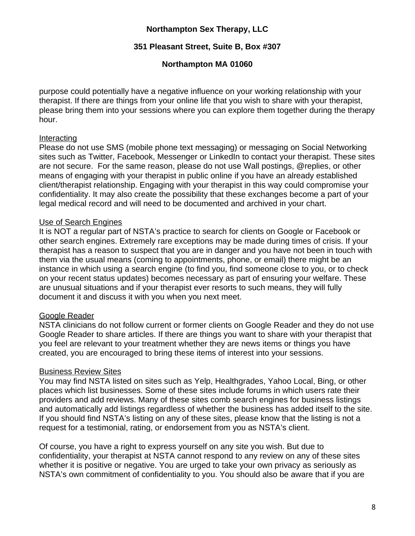### **351 Pleasant Street, Suite B, Box #307**

### **Northampton MA 01060**

purpose could potentially have a negative influence on your working relationship with your therapist. If there are things from your online life that you wish to share with your therapist, please bring them into your sessions where you can explore them together during the therapy hour.

#### Interacting

Please do not use SMS (mobile phone text messaging) or messaging on Social Networking sites such as Twitter, Facebook, Messenger or LinkedIn to contact your therapist. These sites are not secure. For the same reason, please do not use Wall postings, @replies, or other means of engaging with your therapist in public online if you have an already established client/therapist relationship. Engaging with your therapist in this way could compromise your confidentiality. It may also create the possibility that these exchanges become a part of your legal medical record and will need to be documented and archived in your chart.

#### Use of Search Engines

It is NOT a regular part of NSTA's practice to search for clients on Google or Facebook or other search engines. Extremely rare exceptions may be made during times of crisis. If your therapist has a reason to suspect that you are in danger and you have not been in touch with them via the usual means (coming to appointments, phone, or email) there might be an instance in which using a search engine (to find you, find someone close to you, or to check on your recent status updates) becomes necessary as part of ensuring your welfare. These are unusual situations and if your therapist ever resorts to such means, they will fully document it and discuss it with you when you next meet.

#### Google Reader

NSTA clinicians do not follow current or former clients on Google Reader and they do not use Google Reader to share articles. If there are things you want to share with your therapist that you feel are relevant to your treatment whether they are news items or things you have created, you are encouraged to bring these items of interest into your sessions.

#### Business Review Sites

You may find NSTA listed on sites such as Yelp, Healthgrades, Yahoo Local, Bing, or other places which list businesses. Some of these sites include forums in which users rate their providers and add reviews. Many of these sites comb search engines for business listings and automatically add listings regardless of whether the business has added itself to the site. If you should find NSTA's listing on any of these sites, please know that the listing is not a request for a testimonial, rating, or endorsement from you as NSTA's client.

Of course, you have a right to express yourself on any site you wish. But due to confidentiality, your therapist at NSTA cannot respond to any review on any of these sites whether it is positive or negative. You are urged to take your own privacy as seriously as NSTA's own commitment of confidentiality to you. You should also be aware that if you are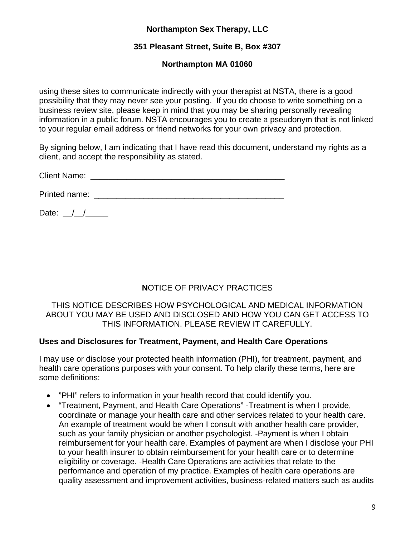# **351 Pleasant Street, Suite B, Box #307**

# **Northampton MA 01060**

using these sites to communicate indirectly with your therapist at NSTA, there is a good possibility that they may never see your posting. If you do choose to write something on a business review site, please keep in mind that you may be sharing personally revealing information in a public forum. NSTA encourages you to create a pseudonym that is not linked to your regular email address or friend networks for your own privacy and protection.

By signing below, I am indicating that I have read this document, understand my rights as a client, and accept the responsibility as stated.

Client Name: \_\_\_\_\_\_\_\_\_\_\_\_\_\_\_\_\_\_\_\_\_\_\_\_\_\_\_\_\_\_\_\_\_\_\_\_\_\_\_\_\_\_\_

Printed name: \_\_\_\_\_\_\_\_\_\_\_\_\_\_\_\_\_\_\_\_\_\_\_\_\_\_\_\_\_\_\_\_\_\_\_\_\_\_\_\_\_\_

Date:  $/$  /

# **N**OTICE OF PRIVACY PRACTICES

#### THIS NOTICE DESCRIBES HOW PSYCHOLOGICAL AND MEDICAL INFORMATION ABOUT YOU MAY BE USED AND DISCLOSED AND HOW YOU CAN GET ACCESS TO THIS INFORMATION. PLEASE REVIEW IT CAREFULLY.

## **Uses and Disclosures for Treatment, Payment, and Health Care Operations**

I may use or disclose your protected health information (PHI), for treatment, payment, and health care operations purposes with your consent. To help clarify these terms, here are some definitions:

- "PHI" refers to information in your health record that could identify you.
- "Treatment, Payment, and Health Care Operations" -Treatment is when I provide, coordinate or manage your health care and other services related to your health care. An example of treatment would be when I consult with another health care provider, such as your family physician or another psychologist. -Payment is when I obtain reimbursement for your health care. Examples of payment are when I disclose your PHI to your health insurer to obtain reimbursement for your health care or to determine eligibility or coverage. -Health Care Operations are activities that relate to the performance and operation of my practice. Examples of health care operations are quality assessment and improvement activities, business-related matters such as audits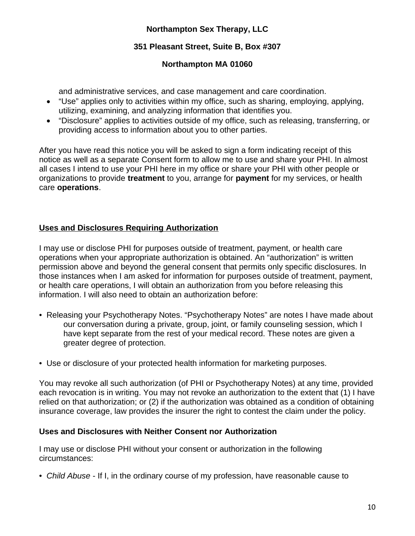# **351 Pleasant Street, Suite B, Box #307**

# **Northampton MA 01060**

and administrative services, and case management and care coordination.

- "Use" applies only to activities within my office, such as sharing, employing, applying, utilizing, examining, and analyzing information that identifies you.
- "Disclosure" applies to activities outside of my office, such as releasing, transferring, or providing access to information about you to other parties.

After you have read this notice you will be asked to sign a form indicating receipt of this notice as well as a separate Consent form to allow me to use and share your PHI. In almost all cases I intend to use your PHI here in my office or share your PHI with other people or organizations to provide **treatment** to you, arrange for **payment** for my services, or health care **operations**.

## **Uses and Disclosures Requiring Authorization**

I may use or disclose PHI for purposes outside of treatment, payment, or health care operations when your appropriate authorization is obtained. An "authorization" is written permission above and beyond the general consent that permits only specific disclosures. In those instances when I am asked for information for purposes outside of treatment, payment, or health care operations, I will obtain an authorization from you before releasing this information. I will also need to obtain an authorization before:

- Releasing your Psychotherapy Notes. "Psychotherapy Notes" are notes I have made about our conversation during a private, group, joint, or family counseling session, which I have kept separate from the rest of your medical record. These notes are given a greater degree of protection.
- Use or disclosure of your protected health information for marketing purposes.

You may revoke all such authorization (of PHI or Psychotherapy Notes) at any time, provided each revocation is in writing. You may not revoke an authorization to the extent that (1) I have relied on that authorization; or (2) if the authorization was obtained as a condition of obtaining insurance coverage, law provides the insurer the right to contest the claim under the policy.

## **Uses and Disclosures with Neither Consent nor Authorization**

I may use or disclose PHI without your consent or authorization in the following circumstances:

• *Child Abuse* - If I, in the ordinary course of my profession, have reasonable cause to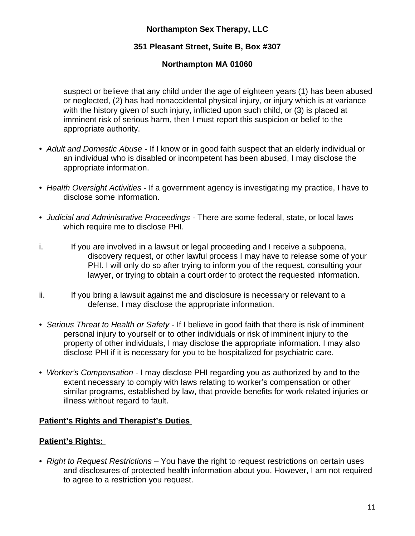# **351 Pleasant Street, Suite B, Box #307**

# **Northampton MA 01060**

suspect or believe that any child under the age of eighteen years (1) has been abused or neglected, (2) has had nonaccidental physical injury, or injury which is at variance with the history given of such injury, inflicted upon such child, or (3) is placed at imminent risk of serious harm, then I must report this suspicion or belief to the appropriate authority.

- *Adult and Domestic Abuse*  If I know or in good faith suspect that an elderly individual or an individual who is disabled or incompetent has been abused, I may disclose the appropriate information.
- *Health Oversight Activities*  If a government agency is investigating my practice, I have to disclose some information.
- *Judicial and Administrative Proceedings*  There are some federal, state, or local laws which require me to disclose PHI.
- i. If you are involved in a lawsuit or legal proceeding and I receive a subpoena, discovery request, or other lawful process I may have to release some of your PHI. I will only do so after trying to inform you of the request, consulting your lawyer, or trying to obtain a court order to protect the requested information.
- ii. If you bring a lawsuit against me and disclosure is necessary or relevant to a defense, I may disclose the appropriate information.
- *Serious Threat to Health or Safety*  If I believe in good faith that there is risk of imminent personal injury to yourself or to other individuals or risk of imminent injury to the property of other individuals, I may disclose the appropriate information. I may also disclose PHI if it is necessary for you to be hospitalized for psychiatric care.
- *Worker's Compensation*  I may disclose PHI regarding you as authorized by and to the extent necessary to comply with laws relating to worker's compensation or other similar programs, established by law, that provide benefits for work-related injuries or illness without regard to fault.

## **Patient's Rights and Therapist's Duties**

## **Patient's Rights:**

• *Right to Request Restrictions* – You have the right to request restrictions on certain uses and disclosures of protected health information about you. However, I am not required to agree to a restriction you request.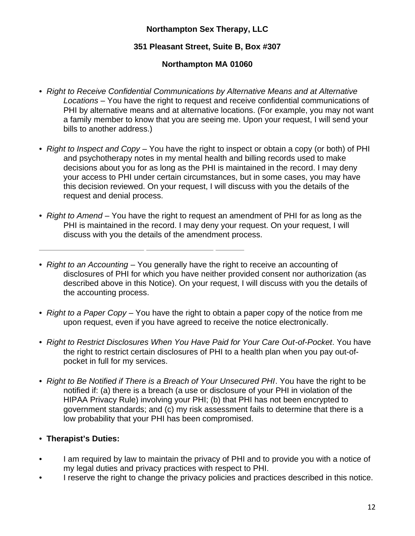# **351 Pleasant Street, Suite B, Box #307**

# **Northampton MA 01060**

- *Right to Receive Confidential Communications by Alternative Means and at Alternative Locations* – You have the right to request and receive confidential communications of PHI by alternative means and at alternative locations. (For example, you may not want a family member to know that you are seeing me. Upon your request, I will send your bills to another address.)
- *Right to Inspect and Copy*  You have the right to inspect or obtain a copy (or both) of PHI and psychotherapy notes in my mental health and billing records used to make decisions about you for as long as the PHI is maintained in the record. I may deny your access to PHI under certain circumstances, but in some cases, you may have this decision reviewed. On your request, I will discuss with you the details of the request and denial process.
- *Right to Amend*  You have the right to request an amendment of PHI for as long as the PHI is maintained in the record. I may deny your request. On your request, I will discuss with you the details of the amendment process.

• *Right to an Accounting* – You generally have the right to receive an accounting of disclosures of PHI for which you have neither provided consent nor authorization (as described above in this Notice). On your request, I will discuss with you the details of the accounting process.

- *Right to a Paper Copy*  You have the right to obtain a paper copy of the notice from me upon request, even if you have agreed to receive the notice electronically.
- *Right to Restrict Disclosures When You Have Paid for Your Care Out-of-Pocket. You have* the right to restrict certain disclosures of PHI to a health plan when you pay out-ofpocket in full for my services.
- *Right to Be Notified if There is a Breach of Your Unsecured PHI*. You have the right to be notified if: (a) there is a breach (a use or disclosure of your PHI in violation of the HIPAA Privacy Rule) involving your PHI; (b) that PHI has not been encrypted to government standards; and (c) my risk assessment fails to determine that there is a low probability that your PHI has been compromised.

## • **Therapist's Duties:**

- I am required by law to maintain the privacy of PHI and to provide you with a notice of my legal duties and privacy practices with respect to PHI.
- I reserve the right to change the privacy policies and practices described in this notice.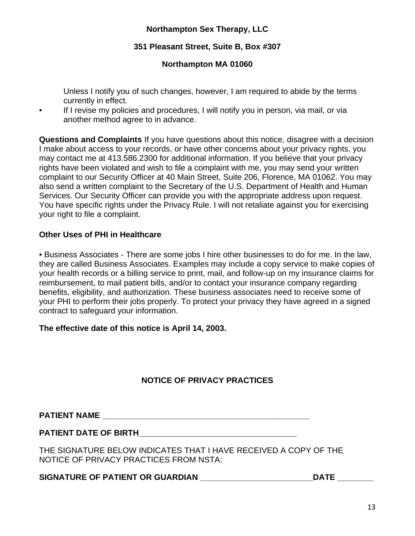### **351 Pleasant Street, Suite B, Box #307**

### **Northampton MA 01060**

Unless I notify you of such changes, however, I am required to abide by the terms currently in effect.

If I revise my policies and procedures, I will notify you in person, via mail, or via another method agree to in advance.

**Questions and Complaints** If you have questions about this notice, disagree with a decision I make about access to your records, or have other concerns about your privacy rights, you may contact me at 413.586.2300 for additional information. If you believe that your privacy rights have been violated and wish to file a complaint with me, you may send your written complaint to our Security Officer at 40 Main Street, Suite 206, Florence, MA 01062. You may also send a written complaint to the Secretary of the U.S. Department of Health and Human Services. Our Security Officer can provide you with the appropriate address upon request. You have specific rights under the Privacy Rule. I will not retaliate against you for exercising your right to file a complaint.

#### **Other Uses of PHI in Healthcare**

• Business Associates - There are some jobs I hire other businesses to do for me. In the law, they are called Business Associates. Examples may include a copy service to make copies of your health records or a billing service to print, mail, and follow-up on my insurance claims for reimbursement, to mail patient bills, and/or to contact your insurance company regarding benefits, eligibility, and authorization. These business associates need to receive some of your PHI to perform their jobs properly. To protect your privacy they have agreed in a signed contract to safeguard your information.

#### **The effective date of this notice is April 14, 2003.**

## **NOTICE OF PRIVACY PRACTICES**

**PATIENT NAME \_\_\_\_\_\_\_\_\_\_\_\_\_\_\_\_\_\_\_\_\_\_\_\_\_\_\_\_\_\_\_\_\_\_\_\_\_\_\_\_\_\_\_\_\_\_**

#### **PATIENT DATE OF BIRTH\_\_\_\_\_\_\_\_\_\_\_\_\_\_\_\_\_\_\_\_\_\_\_\_\_\_\_\_\_\_\_\_\_\_\_**

THE SIGNATURE BELOW INDICATES THAT I HAVE RECEIVED A COPY OF THE NOTICE OF PRIVACY PRACTICES FROM NSTA:

#### SIGNATURE OF PATIENT OR GUARDIAN **\_\_\_\_\_\_\_\_\_\_\_\_\_\_\_\_\_\_\_\_\_\_\_\_\_\_\_\_\_DATE** \_\_\_\_\_\_\_\_\_\_\_